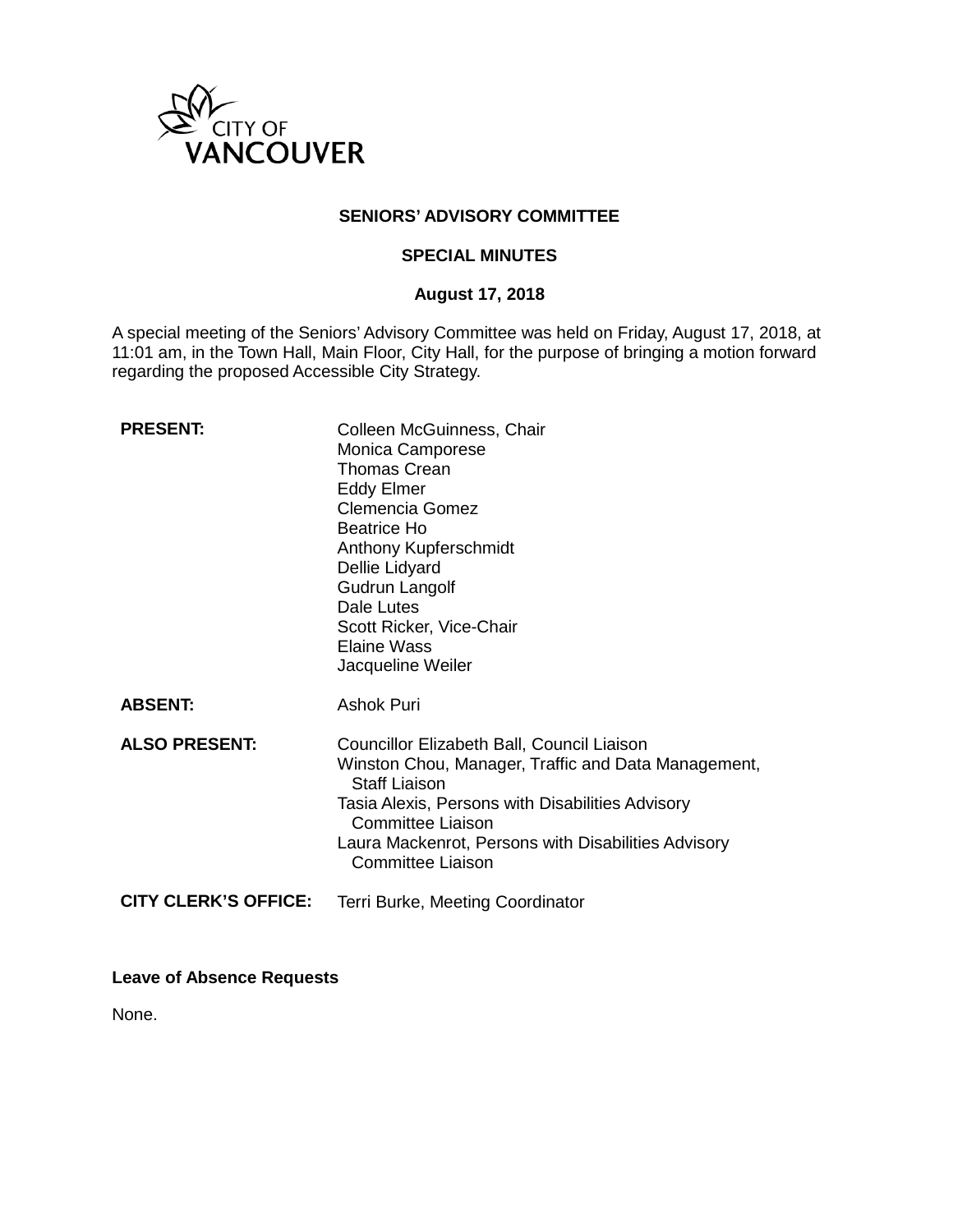

# **SENIORS' ADVISORY COMMITTEE**

### **SPECIAL MINUTES**

### **August 17, 2018**

A special meeting of the Seniors' Advisory Committee was held on Friday, August 17, 2018, at 11:01 am, in the Town Hall, Main Floor, City Hall, for the purpose of bringing a motion forward regarding the proposed Accessible City Strategy.

| <b>PRESENT:</b>             | Colleen McGuinness, Chair<br>Monica Camporese<br><b>Thomas Crean</b><br><b>Eddy Elmer</b><br><b>Clemencia Gomez</b><br><b>Beatrice Ho</b><br>Anthony Kupferschmidt<br>Dellie Lidyard<br>Gudrun Langolf<br>Dale Lutes<br>Scott Ricker, Vice-Chair<br><b>Elaine Wass</b><br>Jacqueline Weiler  |
|-----------------------------|----------------------------------------------------------------------------------------------------------------------------------------------------------------------------------------------------------------------------------------------------------------------------------------------|
| <b>ABSENT:</b>              | Ashok Puri                                                                                                                                                                                                                                                                                   |
| <b>ALSO PRESENT:</b>        | Councillor Elizabeth Ball, Council Liaison<br>Winston Chou, Manager, Traffic and Data Management,<br><b>Staff Liaison</b><br>Tasia Alexis, Persons with Disabilities Advisory<br><b>Committee Liaison</b><br>Laura Mackenrot, Persons with Disabilities Advisory<br><b>Committee Liaison</b> |
| <b>CITY CLERK'S OFFICE:</b> | Terri Burke, Meeting Coordinator                                                                                                                                                                                                                                                             |

**Leave of Absence Requests**

None.